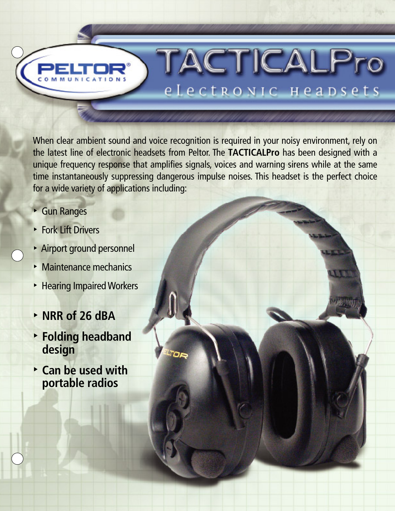When clear ambient sound and voice recognition is required in your noisy environment, rely on the latest line of electronic headsets from Peltor. The **TACTICALPro** has been designed with a unique frequency response that amplifies signals, voices and warning sirens while at the same time instantaneously suppressing dangerous impulse noises. This headset is the perfect choice for a wide variety of applications including:

TACTICALPro

electronic Heapsets

- Gun Ranges
- Fork Lift Drivers
- Airport ground personnel
- Maintenance mechanics
- Hearing Impaired Workers
- **NRR of 26 dBA**
- **Folding headband design**
- **Can be used with portable radios**